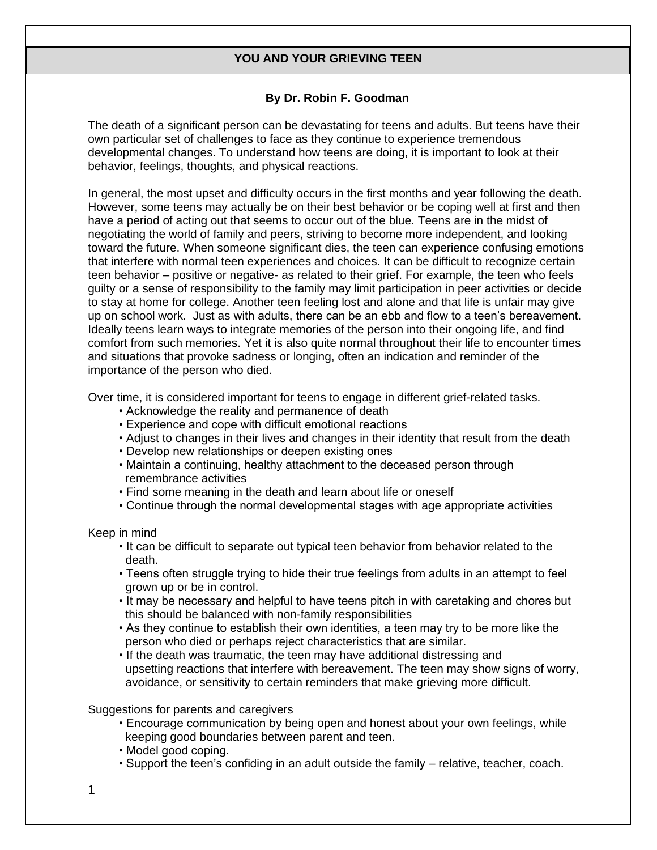## **YOU AND YOUR GRIEVING TEEN**

## **By Dr. Robin F. Goodman**

The death of a significant person can be devastating for teens and adults. But teens have their own particular set of challenges to face as they continue to experience tremendous developmental changes. To understand how teens are doing, it is important to look at their behavior, feelings, thoughts, and physical reactions.

In general, the most upset and difficulty occurs in the first months and year following the death. However, some teens may actually be on their best behavior or be coping well at first and then have a period of acting out that seems to occur out of the blue. Teens are in the midst of negotiating the world of family and peers, striving to become more independent, and looking toward the future. When someone significant dies, the teen can experience confusing emotions that interfere with normal teen experiences and choices. It can be difficult to recognize certain teen behavior – positive or negative- as related to their grief. For example, the teen who feels guilty or a sense of responsibility to the family may limit participation in peer activities or decide to stay at home for college. Another teen feeling lost and alone and that life is unfair may give up on school work. Just as with adults, there can be an ebb and flow to a teen's bereavement. Ideally teens learn ways to integrate memories of the person into their ongoing life, and find comfort from such memories. Yet it is also quite normal throughout their life to encounter times and situations that provoke sadness or longing, often an indication and reminder of the importance of the person who died.

Over time, it is considered important for teens to engage in different grief-related tasks.

- Acknowledge the reality and permanence of death
- Experience and cope with difficult emotional reactions
- Adjust to changes in their lives and changes in their identity that result from the death
- Develop new relationships or deepen existing ones
- Maintain a continuing, healthy attachment to the deceased person through remembrance activities
- Find some meaning in the death and learn about life or oneself
- Continue through the normal developmental stages with age appropriate activities

Keep in mind

- It can be difficult to separate out typical teen behavior from behavior related to the death.
- Teens often struggle trying to hide their true feelings from adults in an attempt to feel grown up or be in control.
- It may be necessary and helpful to have teens pitch in with caretaking and chores but this should be balanced with non-family responsibilities
- As they continue to establish their own identities, a teen may try to be more like the person who died or perhaps reject characteristics that are similar.
- If the death was traumatic, the teen may have additional distressing and upsetting reactions that interfere with bereavement. The teen may show signs of worry, avoidance, or sensitivity to certain reminders that make grieving more difficult.

Suggestions for parents and caregivers

- Encourage communication by being open and honest about your own feelings, while keeping good boundaries between parent and teen.
- Model good coping.
- Support the teen's confiding in an adult outside the family relative, teacher, coach.